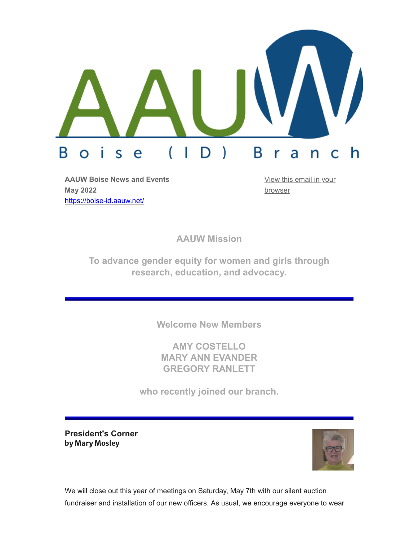

**AAUW Boise News and Events May 2022** <https://boise-id.aauw.net/>

[View this email in your](https://mailchi.mp/9c63df626e14/may-2019-newsletter-aauw-boise-area-branch-6000984?e=[UNIQID]) browser

**AAUW Mission**

**To advance gender equity for women and girls through research, education, and advocacy.**

**Welcome New Members**

**AMY COSTELLO MARY ANN EVANDER GREGORY RANLETT**

**who recently joined our branch.**

**President's Corner** by Mary Mosley



We will close out this year of meetings on Saturday, May 7th with our silent auction fundraiser and installation of our new officers. As usual, we encourage everyone to wear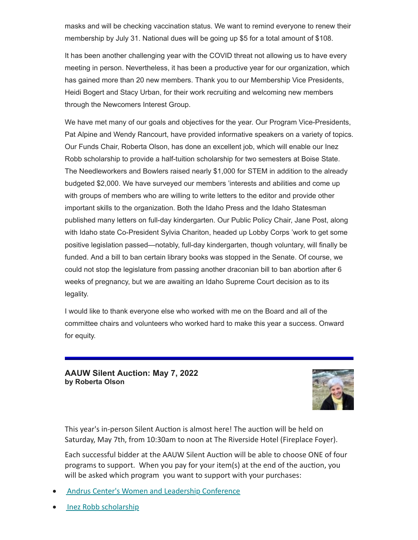masks and will be checking vaccination status. We want to remind everyone to renew their membership by July 31. National dues will be going up \$5 for a total amount of \$108.

It has been another challenging year with the COVID threat not allowing us to have every meeting in person. Nevertheless, it has been a productive year for our organization, which has gained more than 20 new members. Thank you to our Membership Vice Presidents, Heidi Bogert and Stacy Urban, for their work recruiting and welcoming new members through the Newcomers Interest Group.

We have met many of our goals and objectives for the year. Our Program Vice-Presidents, Pat Alpine and Wendy Rancourt, have provided informative speakers on a variety of topics. Our Funds Chair, Roberta Olson, has done an excellent job, which will enable our Inez Robb scholarship to provide a half-tuition scholarship for two semesters at Boise State. The Needleworkers and Bowlers raised nearly \$1,000 for STEM in addition to the already budgeted \$2,000. We have surveyed our members 'interests and abilities and come up with groups of members who are willing to write letters to the editor and provide other important skills to the organization. Both the Idaho Press and the Idaho Statesman published many letters on full-day kindergarten. Our Public Policy Chair, Jane Post, along with Idaho state Co-President Sylvia Chariton, headed up Lobby Corps 'work to get some positive legislation passed—notably, full-day kindergarten, though voluntary, will finally be funded. And a bill to ban certain library books was stopped in the Senate. Of course, we could not stop the legislature from passing another draconian bill to ban abortion after 6 weeks of pregnancy, but we are awaiting an Idaho Supreme Court decision as to its legality.

I would like to thank everyone else who worked with me on the Board and all of the committee chairs and volunteers who worked hard to make this year a success. Onward for equity.

**AAUW Silent Auction: May 7, 2022 by Roberta Olson**



This year's in-person Silent Auction is almost here! The auction will be held on Saturday, May 7th, from 10:30am to noon at The Riverside Hotel (Fireplace Foyer).

Each successful bidder at the AAUW Silent Auction will be able to choose ONE of four programs to support. When you pay for your item(s) at the end of the auction, you will be asked which program you want to support with your purchases:

- [Andrus Center's Women and Leadership Conference](https://www.boisestate.edu/sps-andruscenter/women-leadership-conference/)
- · [Inez Robb scholarship](https://boise-id.aauw.net/scholarship/)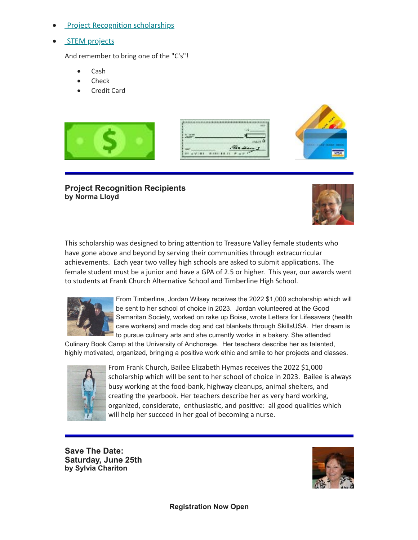- **[Project Recognition scholarships](https://boise-id.aauw.net/special-projects/)**
- **[STEM projects](https://boise-id.aauw.net/special-projects/)**

And remember to bring one of the "C's"!

- · Cash
- Check
- **Credit Card**



#### **Project Recognition Recipients by Norma Lloyd**



This scholarship was designed to bring attention to Treasure Valley female students who have gone above and beyond by serving their communities through extracurricular achievements. Each year two valley high schools are asked to submit applications. The female student must be a junior and have a GPA of 2.5 or higher. This year, our awards went to students at Frank Church Alternative School and Timberline High School.



From Timberline, Jordan Wilsey receives the 2022 \$1,000 scholarship which will be sent to her school of choice in 2023. Jordan volunteered at the Good Samaritan Society, worked on rake up Boise, wrote Letters for Lifesavers (health care workers) and made dog and cat blankets through SkillsUSA. Her dream is to pursue culinary arts and she currently works in a bakery. She attended

Culinary Book Camp at the University of Anchorage. Her teachers describe her as talented, highly motivated, organized, bringing a positive work ethic and smile to her projects and classes.



From Frank Church, Bailee Elizabeth Hymas receives the 2022 \$1,000 scholarship which will be sent to her school of choice in 2023. Bailee is always busy working at the food-bank, highway cleanups, animal shelters, and creating the yearbook. Her teachers describe her as very hard working, organized, considerate, enthusiastic, and positive: all good qualities which will help her succeed in her goal of becoming a nurse.

**Save The Date: Saturday, June 25th by Sylvia Chariton**

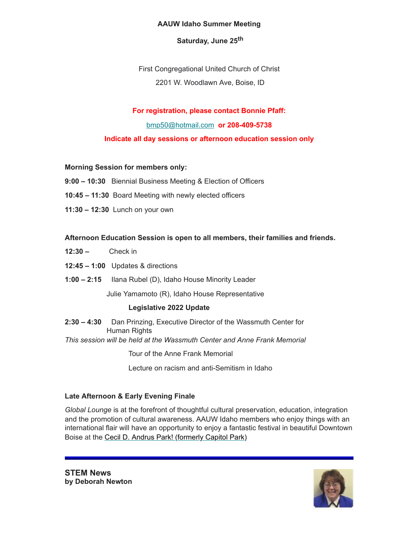#### **AAUW Idaho Summer Meeting**

# **Saturday, June 25th**

First Congregational United Church of Christ 2201 W. Woodlawn Ave, Boise, ID

## **For registration, please contact Bonnie Pfaff:**

[bmp50@hotmail.com](mailto:bmp50@hotmail.com) **or 208-409-5738**

**Indicate all day sessions or afternoon education session only**

#### **Morning Session for members only:**

- **9:00 10:30** Biennial Business Meeting & Election of Officers
- **10:45 11:30** Board Meeting with newly elected officers
- **11:30 12:30** Lunch on your own

### **Afternoon Education Session is open to all members, their families and friends.**

- **12:30** Check in
- **12:45 1:00** Updates & directions
- **1:00 2:15** Ilana Rubel (D), Idaho House Minority Leader

Julie Yamamoto (R), Idaho House Representative

# **Legislative 2022 Update**

- **2:30 4:30** Dan Prinzing, Executive Director of the Wassmuth Center for Human Rights
- *This session will be held at the Wassmuth Center and Anne Frank Memorial*

Tour of the Anne Frank Memorial

Lecture on racism and anti-Semitism in Idaho

#### **Late Afternoon & Early Evening Finale**

*Global Lounge* is at the forefront of thoughtful cultural preservation, education, integration and the promotion of cultural awareness. AAUW Idaho members who enjoy things with an international flair will have an opportunity to enjoy a fantastic festival in beautiful Downtown Boise at the [Cecil D. Andrus Park! \(formerly Capitol Park\)](https://www.google.com/maps/place/Capitol+Park/@43.6166448,-116.1997851,15z/data=!4m5!3m4!1s0x0:0xd178eaf2a45126ed!8m2!3d43.6166448!4d-116.1997851)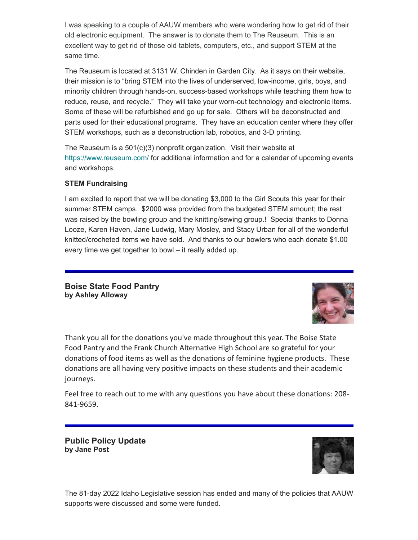I was speaking to a couple of AAUW members who were wondering how to get rid of their old electronic equipment. The answer is to donate them to The Reuseum. This is an excellent way to get rid of those old tablets, computers, etc., and support STEM at the same time.

The Reuseum is located at 3131 W. Chinden in Garden City. As it says on their website, their mission is to "bring STEM into the lives of underserved, low-income, girls, boys, and minority children through hands-on, success-based workshops while teaching them how to reduce, reuse, and recycle." They will take your worn-out technology and electronic items. Some of these will be refurbished and go up for sale. Others will be deconstructed and parts used for their educational programs. They have an education center where they offer STEM workshops, such as a deconstruction lab, robotics, and 3-D printing.

The Reuseum is a 501(c)(3) nonprofit organization. Visit their website at <https://www.reuseum.com/> for additional information and for a calendar of upcoming events and workshops.

### **STEM Fundraising**

I am excited to report that we will be donating \$3,000 to the Girl Scouts this year for their summer STEM camps. \$2000 was provided from the budgeted STEM amount; the rest was raised by the bowling group and the knitting/sewing group.! Special thanks to Donna Looze, Karen Haven, Jane Ludwig, Mary Mosley, and Stacy Urban for all of the wonderful knitted/crocheted items we have sold. And thanks to our bowlers who each donate \$1.00 every time we get together to bowl – it really added up.

**Boise State Food Pantry by Ashley Alloway**



Thank you all for the donations you've made throughout this year. The Boise State Food Pantry and the Frank Church Alternative High School are so grateful for your donations of food items as well as the donations of feminine hygiene products. These donations are all having very positive impacts on these students and their academic journeys.

Feel free to reach out to me with any questions you have about these donations: 208- 841-9659.

**Public Policy Update by Jane Post**



The 81-day 2022 Idaho Legislative session has ended and many of the policies that AAUW supports were discussed and some were funded.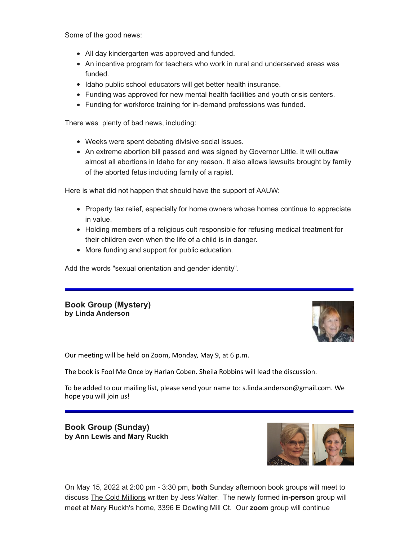Some of the good news:

- All day kindergarten was approved and funded.
- An incentive program for teachers who work in rural and underserved areas was funded.
- Idaho public school educators will get better health insurance.
- Funding was approved for new mental health facilities and youth crisis centers.
- Funding for workforce training for in-demand professions was funded.

There was plenty of bad news, including:

- Weeks were spent debating divisive social issues.
- An extreme abortion bill passed and was signed by Governor Little. It will outlaw almost all abortions in Idaho for any reason. It also allows lawsuits brought by family of the aborted fetus including family of a rapist.

Here is what did not happen that should have the support of AAUW:

- Property tax relief, especially for home owners whose homes continue to appreciate in value.
- Holding members of a religious cult responsible for refusing medical treatment for their children even when the life of a child is in danger.
- More funding and support for public education.

Add the words "sexual orientation and gender identity".

#### **Book Group (Mystery) by Linda Anderson**



Our meeting will be held on Zoom, Monday, May 9, at 6 p.m.

The book is Fool Me Once by Harlan Coben. Sheila Robbins will lead the discussion.

To be added to our mailing list, please send your name to: s.linda.anderson@gmail.com. We hope you will join us!

**Book Group (Sunday) by Ann Lewis and Mary Ruckh**



On May 15, 2022 at 2:00 pm - 3:30 pm, **both** Sunday afternoon book groups will meet to discuss The Cold Millions written by Jess Walter. The newly formed **in-person** group will meet at Mary Ruckh's home, 3396 E Dowling Mill Ct. Our **zoom** group will continue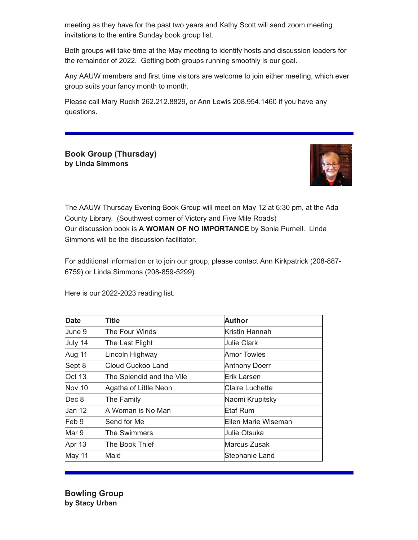meeting as they have for the past two years and Kathy Scott will send zoom meeting invitations to the entire Sunday book group list.

Both groups will take time at the May meeting to identify hosts and discussion leaders for the remainder of 2022. Getting both groups running smoothly is our goal.

Any AAUW members and first time visitors are welcome to join either meeting, which ever group suits your fancy month to month.

Please call Mary Ruckh 262.212.8829, or Ann Lewis 208.954.1460 if you have any questions.

**Book Group (Thursday) by Linda Simmons**



The AAUW Thursday Evening Book Group will meet on May 12 at 6:30 pm, at the Ada County Library. (Southwest corner of Victory and Five Mile Roads) Our discussion book is **A WOMAN OF NO IMPORTANCE** by Sonia Purnell. Linda Simmons will be the discussion facilitator.

For additional information or to join our group, please contact Ann Kirkpatrick (208-887- 6759) or Linda Simmons (208-859-5299).

Here is our 2022-2023 reading list.

| Date    | Title                     | <b>Author</b>          |
|---------|---------------------------|------------------------|
| June 9  | The Four Winds            | Kristin Hannah         |
| July 14 | The Last Flight           | ∣Julie Clark           |
| Aug 11  | Lincoln Highway           | Amor Towles            |
| Sept 8  | Cloud Cuckoo Land         | <b>Anthony Doerr</b>   |
| Oct 13  | The Splendid and the Vile | Erik Larsen            |
| Nov 10  | Agatha of Little Neon     | <b>Claire Luchette</b> |
| Dec 8   | The Family                | Naomi Krupitsky        |
| Jan 12  | A Woman is No Man         | Etaf Rum               |
| Feb 9   | Send for Me               | Ellen Marie Wiseman    |
| Mar 9   | The Swimmers              | Uulie Otsuka           |
| Apr 13  | The Book Thief            | Marcus Zusak           |
| May 11  | Maid                      | Stephanie Land         |

**Bowling Group by Stacy Urban**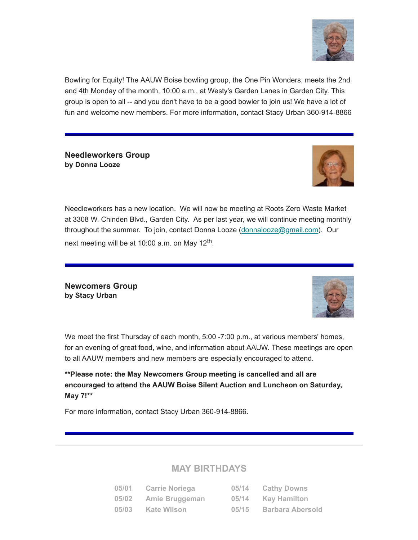

Bowling for Equity! The AAUW Boise bowling group, the One Pin Wonders, meets the 2nd and 4th Monday of the month, 10:00 a.m., at Westy's Garden Lanes in Garden City. This group is open to all -- and you don't have to be a good bowler to join us! We have a lot of fun and welcome new members. For more information, contact Stacy Urban 360-914-8866

**Needleworkers Group by Donna Looze**



Needleworkers has a new location. We will now be meeting at Roots Zero Waste Market at 3308 W. Chinden Blvd., Garden City. As per last year, we will continue meeting monthly throughout the summer. To join, contact Donna Looze ([donnalooze@gmail.com](mailto:donnalooze@gmail.com)). Our next meeting will be at 10:00 a.m. on May 12 $^{\sf th}$ .

**Newcomers Group by Stacy Urban**



We meet the first Thursday of each month, 5:00 -7:00 p.m., at various members' homes, for an evening of great food, wine, and information about AAUW. These meetings are open to all AAUW members and new members are especially encouraged to attend.

**\*\*Please note: the May Newcomers Group meeting is cancelled and all are encouraged to attend the AAUW Boise Silent Auction and Luncheon on Saturday, May 7!\*\***

For more information, contact Stacy Urban 360-914-8866.

# **MAY BIRTHDAYS**

| 05/01 | <b>Carrie Noriega</b> | 05/14 | <b>Cathy Downs</b>      |
|-------|-----------------------|-------|-------------------------|
| 05/02 | <b>Amie Bruggeman</b> | 05/14 | <b>Kay Hamilton</b>     |
| 05/03 | Kate Wilson           | 05/15 | <b>Barbara Abersold</b> |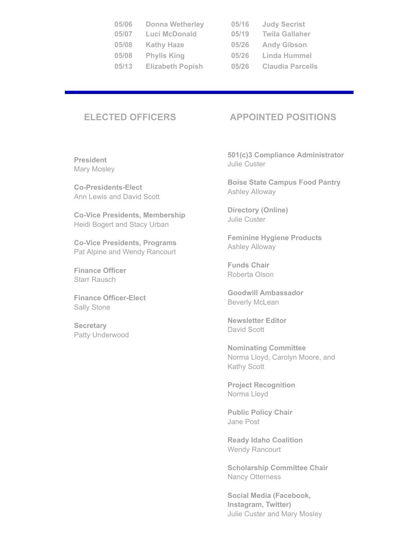| 05/06 | <b>Donna Wetherley</b>  | 05/16 | <b>Judy Secrist</b>     |
|-------|-------------------------|-------|-------------------------|
| 05/07 | Luci McDonald           | 05/19 | <b>Twila Gallaher</b>   |
| 05/08 | <b>Kathy Haze</b>       | 05/26 | <b>Andy Gibson</b>      |
| 05/08 | <b>Phylis King</b>      | 05/26 | <b>Linda Hummel</b>     |
| 05/13 | <b>Elizabeth Popish</b> | 05/26 | <b>Claudia Parcells</b> |

| i/16 | <b>Judy Secrist</b>     |
|------|-------------------------|
| i/19 | Twila Gallaher          |
| i/26 | <b>Andy Gibson</b>      |
| i/26 | Linda Hummel            |
| 1/26 | <b>Claudia Parcells</b> |

# **ELECTED OFFICERS APPOINTED POSITIONS**

**President** Mary Mosley

**Co-Presidents-Elect** Ann Lewis and David Scott

**Co-Vice Presidents, Membership** Heidi Bogert and Stacy Urban

**Co-Vice Presidents, Programs** Pat Alpine and Wendy Rancourt

**Finance Officer** Starr Rausch

**Finance Officer-Elect** Sally Stone

**Secretary** Patty Underwood

**501(c)3 Compliance Administrator** Julie Custer

**Boise State Campus Food Pantry** Ashley Alloway

**Directory (Online)** Julie Custer

**Feminine Hygiene Products**  Ashley Alloway

**Funds Chair** Roberta Olson

**Goodwill Ambassador** Beverly McLean

**Newsletter Editor** David Scott

**Nominating Committee** Norma Lloyd, Carolyn Moore, and Kathy Scott

**Project Recognition** Norma Lloyd

**Public Policy Chair** Jane Post

**Ready Idaho Coalition**  Wendy Rancourt

**Scholarship Committee Chair** Nancy Otterness

**Social Media (Facebook, Instagram, Twitter)** Julie Custer and Mary Mosley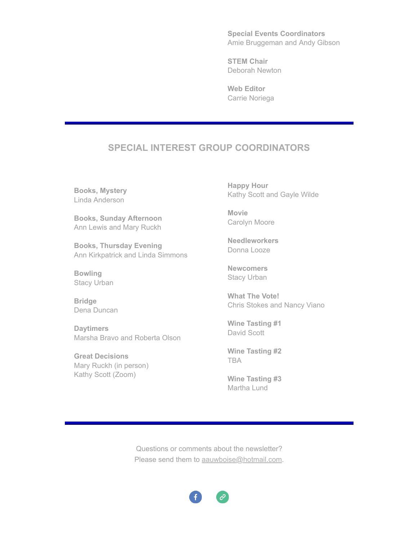**Special Events Coordinators** Amie Bruggeman and Andy Gibson

**STEM Chair** Deborah Newton

**Web Editor** Carrie Noriega

# **SPECIAL INTEREST GROUP COORDINATORS**

**Books, Mystery** Linda Anderson

**Books, Sunday Afternoon** Ann Lewis and Mary Ruckh

**Books, Thursday Evening** Ann Kirkpatrick and Linda Simmons

**Bowling** Stacy Urban

**Bridge** Dena Duncan

**Daytimers** Marsha Bravo and Roberta Olson

**Great Decisions** Mary Ruckh (in person) Kathy Scott (Zoom)

**Happy Hour** Kathy Scott and Gayle Wilde

**Movie** Carolyn Moore

**Needleworkers** Donna Looze

**Newcomers** Stacy Urban

**What The Vote!** Chris Stokes and Nancy Viano

**Wine Tasting #1** David Scott

**Wine Tasting #2** TBA

**Wine Tasting #3** Martha Lund

Questions or comments about the newsletter? Please send them to [aauwboise@hotmail.com](mailto:aauwboise@hotmail.com).